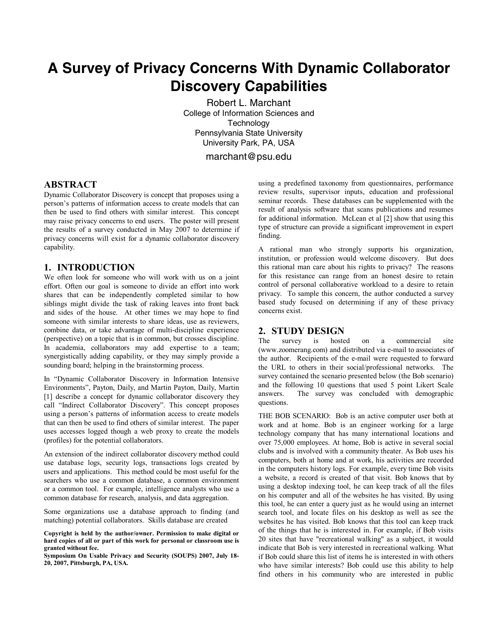# **A Survey of Privacy Concerns With Dynamic Collaborator Discovery Capabilities**

Robert L. Marchant College of Information Sciences and **Technology** Pennsylvania State University University Park, PA, USA

marchant@psu.edu

# **ABSTRACT**

Dynamic Collaborator Discovery is concept that proposes using a person's patterns of information access to create models that can then be used to find others with similar interest. This concept may raise privacy concerns to end users. The poster will present the results of a survey conducted in May 2007 to determine if privacy concerns will exist for a dynamic collaborator discovery capability.

# **1. INTRODUCTION**

We often look for someone who will work with us on a joint effort. Often our goal is someone to divide an effort into work shares that can be independently completed similar to how siblings might divide the task of raking leaves into front back and sides of the house. At other times we may hope to find someone with similar interests to share ideas, use as reviewers, combine data, or take advantage of multi-discipline experience (perspective) on a topic that is in common, but crosses discipline. In academia, collaborators may add expertise to a team; synergistically adding capability, or they may simply provide a sounding board; helping in the brainstorming process.

In "Dynamic Collaborator Discovery in Information Intensive Environments", Payton, Daily, and Martin Payton, Daily, Martin [1] describe a concept for dynamic collaborator discovery they call "Indirect Collaborator Discovery". This concept proposes using a person's patterns of information access to create models that can then be used to find others of similar interest. The paper uses accesses logged though a web proxy to create the models (profiles) for the potential collaborators.

An extension of the indirect collaborator discovery method could use database logs, security logs, transactions logs created by users and applications. This method could be most useful for the searchers who use a common database, a common environment or a common tool. For example, intelligence analysts who use a common database for research, analysis, and data aggregation.

Some organizations use a database approach to finding (and matching) potential collaborators. Skills database are created

**Copyright is held by the author/owner. Permission to make digital or hard copies of all or part of this work for personal or classroom use is granted without fee.** 

**Symposium On Usable Privacy and Security (SOUPS) 2007, July 18- 20, 2007, Pittsburgh, PA, USA.** 

using a predefined taxonomy from questionnaires, performance review results, supervisor inputs, education and professional seminar records. These databases can be supplemented with the result of analysis software that scans publications and resumes for additional information. McLean et al [2] show that using this type of structure can provide a significant improvement in expert finding.

A rational man who strongly supports his organization, institution, or profession would welcome discovery. But does this rational man care about his rights to privacy? The reasons for this resistance can range from an honest desire to retain control of personal collaborative workload to a desire to retain privacy. To sample this concern, the author conducted a survey based study focused on determining if any of these privacy concerns exist.

# **2. STUDY DESIGN**

The survey is hosted on a commercial site (www.zoomerang.com) and distributed via e-mail to associates of the author. Recipients of the e-mail were requested to forward the URL to others in their social/professional networks. The survey contained the scenario presented below (the Bob scenario) and the following 10 questions that used 5 point Likert Scale answers. The survey was concluded with demographic questions.

THE BOB SCENARIO: Bob is an active computer user both at work and at home. Bob is an engineer working for a large technology company that has many international locations and over 75,000 employees. At home, Bob is active in several social clubs and is involved with a community theater. As Bob uses his computers, both at home and at work, his activities are recorded in the computers history logs. For example, every time Bob visits a website, a record is created of that visit. Bob knows that by using a desktop indexing tool, he can keep track of all the files on his computer and all of the websites he has visited. By using this tool, he can enter a query just as he would using an internet search tool, and locate files on his desktop as well as see the websites he has visited. Bob knows that this tool can keep track of the things that he is interested in. For example, if Bob visits 20 sites that have "recreational walking" as a subject, it would indicate that Bob is very interested in recreational walking. What if Bob could share this list of items he is interested in with others who have similar interests? Bob could use this ability to help find others in his community who are interested in public